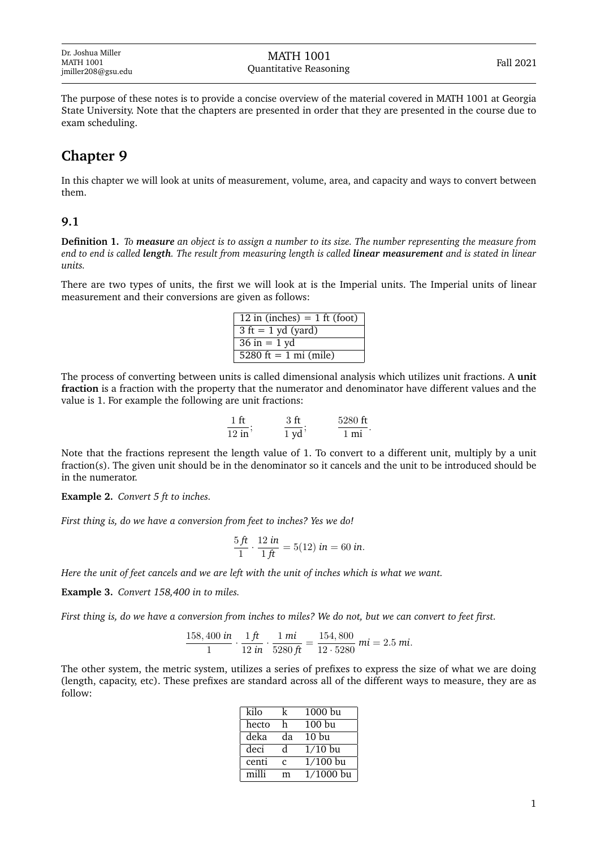The purpose of these notes is to provide a concise overview of the material covered in MATH 1001 at Georgia State University. Note that the chapters are presented in order that they are presented in the course due to exam scheduling.

## **Chapter 9**

In this chapter we will look at units of measurement, volume, area, and capacity and ways to convert between them.

## **9.1**

**Definition 1.** *To measure an object is to assign a number to its size. The number representing the measure from end to end is called length. The result from measuring length is called linear measurement and is stated in linear units.*

There are two types of units, the first we will look at is the Imperial units. The Imperial units of linear measurement and their conversions are given as follows:

| 12 in (inches) $= 1$ ft (foot)               |
|----------------------------------------------|
| $3 \text{ ft} = 1 \text{ yd} \text{ (yard)}$ |
| $36$ in = 1 yd                               |
| 5280 ft = $1 \text{ mi}$ (mile)              |

The process of converting between units is called dimensional analysis which utilizes unit fractions. A **unit fraction** is a fraction with the property that the numerator and denominator have different values and the value is 1. For example the following are unit fractions:

| ×.          |   | 5280<br>`ff |
|-------------|---|-------------|
| $12$ in $'$ | - |             |

Note that the fractions represent the length value of 1. To convert to a different unit, multiply by a unit fraction(s). The given unit should be in the denominator so it cancels and the unit to be introduced should be in the numerator.

**Example 2.** *Convert 5 ft to inches.*

*First thing is, do we have a conversion from feet to inches? Yes we do!*

$$
\frac{5 \, ft}{1} \cdot \frac{12 \, in}{1 \, ft} = 5(12) \, in = 60 \, in.
$$

*Here the unit of feet cancels and we are left with the unit of inches which is what we want.*

**Example 3.** *Convert 158,400 in to miles.*

*First thing is, do we have a conversion from inches to miles? We do not, but we can convert to feet first.*

$$
\frac{158,400 \text{ in}}{1} \cdot \frac{1 \text{ ft}}{12 \text{ in}} \cdot \frac{1 \text{ mi}}{5280 \text{ ft}} = \frac{154,800}{12 \cdot 5280} \text{ mi} = 2.5 \text{ mi}.
$$

The other system, the metric system, utilizes a series of prefixes to express the size of what we are doing (length, capacity, etc). These prefixes are standard across all of the different ways to measure, they are as follow:

| kilo  | k  | 1000 bu          |
|-------|----|------------------|
| hecto | h  | 100 bu           |
| deka  | da | 10 <sub>bu</sub> |
| deci  | d. | $1/10$ bu        |
| centi | C  | $1/100$ bu       |
| milli | m  | $1/1000$ bu      |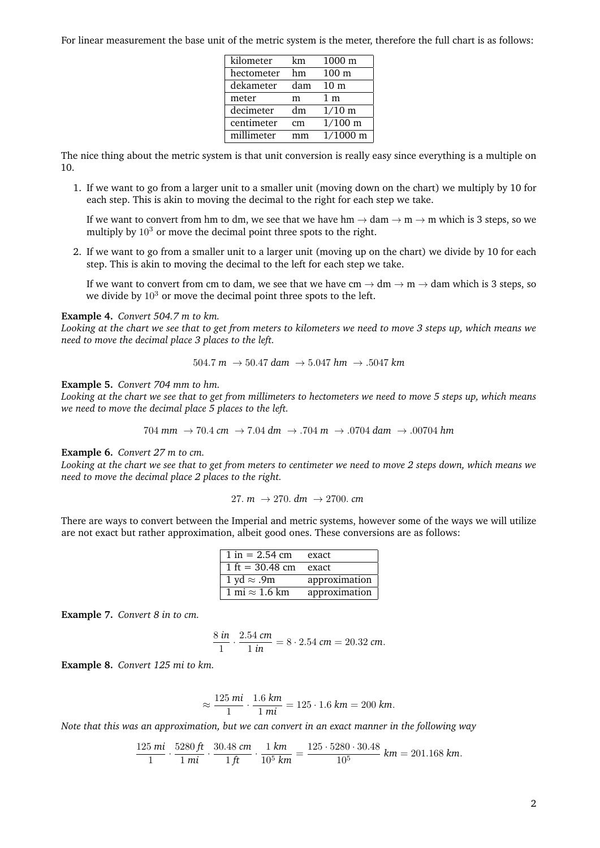For linear measurement the base unit of the metric system is the meter, therefore the full chart is as follows:

| kilometer  | km  | $1000 \text{ m}$   |
|------------|-----|--------------------|
| hectometer | hm  | 100 <sub>m</sub>   |
| dekameter  | dam | 10 <sub>m</sub>    |
| meter      | m   | 1 <sub>m</sub>     |
| decimeter  | dm  | $1/10 \text{ m}$   |
| centimeter | cm  | $1/100 \text{ m}$  |
| millimeter | mm  | $1/1000 \text{ m}$ |

The nice thing about the metric system is that unit conversion is really easy since everything is a multiple on 10.

1. If we want to go from a larger unit to a smaller unit (moving down on the chart) we multiply by 10 for each step. This is akin to moving the decimal to the right for each step we take.

If we want to convert from hm to dm, we see that we have hm  $\rightarrow$  dam  $\rightarrow$  m  $\rightarrow$  m which is 3 steps, so we multiply by  $10<sup>3</sup>$  or move the decimal point three spots to the right.

2. If we want to go from a smaller unit to a larger unit (moving up on the chart) we divide by 10 for each step. This is akin to moving the decimal to the left for each step we take.

If we want to convert from cm to dam, we see that we have  $\text{cm} \to \text{dm} \to \text{m} \to \text{dam}$  which is 3 steps, so we divide by  $10<sup>3</sup>$  or move the decimal point three spots to the left.

## **Example 4.** *Convert 504.7 m to km.*

*Looking at the chart we see that to get from meters to kilometers we need to move 3 steps up, which means we need to move the decimal place 3 places to the left.*

$$
504.7\ m\ \rightarrow 50.47\ dam\ \rightarrow 5.047\ hm\ \rightarrow .5047\ km
$$

**Example 5.** *Convert 704 mm to hm.*

*Looking at the chart we see that to get from millimeters to hectometers we need to move 5 steps up, which means we need to move the decimal place 5 places to the left.*

$$
704 \text{ mm } \rightarrow 70.4 \text{ cm } \rightarrow 7.04 \text{ dm } \rightarrow .704 \text{ m } \rightarrow .0704 \text{ dam } \rightarrow .00704 \text{ hm}
$$

**Example 6.** *Convert 27 m to cm.*

*Looking at the chart we see that to get from meters to centimeter we need to move 2 steps down, which means we need to move the decimal place 2 places to the right.*

27. 
$$
m \rightarrow 270
$$
.  $dm \rightarrow 2700$ .  $cm$ 

There are ways to convert between the Imperial and metric systems, however some of the ways we will utilize are not exact but rather approximation, albeit good ones. These conversions are as follows:

| $1 \text{ in} = 2.54 \text{ cm}$        | exact         |
|-----------------------------------------|---------------|
| $1 \text{ ft} = 30.48 \text{ cm}$ exact |               |
| 1 yd $\approx$ .9m                      | approximation |
| 1 mi $\approx$ 1.6 km                   | approximation |

**Example 7.** *Convert 8 in to cm.*

$$
\frac{8 \text{ in}}{1} \cdot \frac{2.54 \text{ cm}}{1 \text{ in}} = 8 \cdot 2.54 \text{ cm} = 20.32 \text{ cm}.
$$

**Example 8.** *Convert 125 mi to km.*

$$
\approx \frac{125 \text{ mi}}{1} \cdot \frac{1.6 \text{ km}}{1 \text{ mi}} = 125 \cdot 1.6 \text{ km} = 200 \text{ km}.
$$

*Note that this was an approximation, but we can convert in an exact manner in the following way*

$$
\frac{125 \text{ mi}}{1} \cdot \frac{5280 \text{ ft}}{1 \text{ mi}} \cdot \frac{30.48 \text{ cm}}{1 \text{ ft}} \cdot \frac{1 \text{ km}}{10^5 \text{ km}} = \frac{125 \cdot 5280 \cdot 30.48}{10^5} \text{ km} = 201.168 \text{ km}.
$$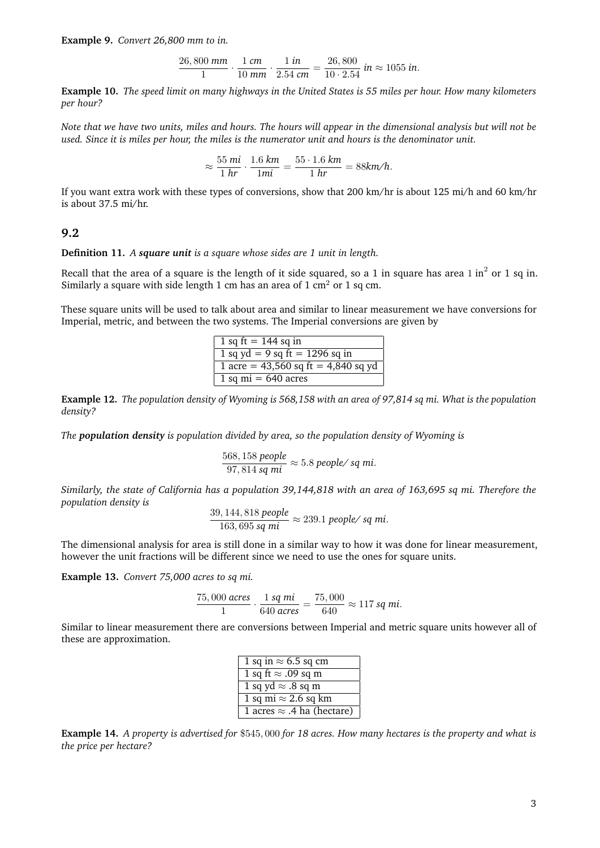**Example 9.** *Convert 26,800 mm to in.*

$$
\frac{26,800 \text{ mm}}{1} \cdot \frac{1 \text{ cm}}{10 \text{ mm}} \cdot \frac{1 \text{ in}}{2.54 \text{ cm}} = \frac{26,800}{10 \cdot 2.54} \text{ in} \approx 1055 \text{ in}.
$$

**Example 10.** *The speed limit on many highways in the United States is 55 miles per hour. How many kilometers per hour?*

*Note that we have two units, miles and hours. The hours will appear in the dimensional analysis but will not be used. Since it is miles per hour, the miles is the numerator unit and hours is the denominator unit.*

$$
\approx \frac{55 \text{ mi}}{1 \text{ hr}} \cdot \frac{1.6 \text{ km}}{1 \text{ mi}} = \frac{55 \cdot 1.6 \text{ km}}{1 \text{ hr}} = 88 \text{ km/h}.
$$

If you want extra work with these types of conversions, show that 200 km/hr is about 125 mi/h and 60 km/hr is about 37.5 mi/hr.

## **9.2**

**Definition 11.** *A square unit is a square whose sides are 1 unit in length.*

Recall that the area of a square is the length of it side squared, so a 1 in square has area 1 in $^2$  or 1 sq in. Similarly a square with side length 1 cm has an area of 1 cm<sup>2</sup> or 1 sq cm.

These square units will be used to talk about area and similar to linear measurement we have conversions for Imperial, metric, and between the two systems. The Imperial conversions are given by

| 1 sq ft = $144$ sq in                   |
|-----------------------------------------|
| 1 sq yd = 9 sq ft = 1296 sq in          |
| 1 acre = $43,560$ sq ft = $4,840$ sq yd |
| 1 sq mi = $640$ acres                   |

**Example 12.** *The population density of Wyoming is 568,158 with an area of 97,814 sq mi. What is the population density?*

*The population density is population divided by area, so the population density of Wyoming is*

$$
\frac{568,158 \text{ people}}{97,814 \text{ sq mi}} \approx 5.8 \text{ people/ sq mi}.
$$

*Similarly, the state of California has a population 39,144,818 with an area of 163,695 sq mi. Therefore the population density is*

$$
\frac{39,144,818 \text{ people}}{163,695 \text{ sq mi}} \approx 239.1 \text{ people/ sq mi}.
$$

The dimensional analysis for area is still done in a similar way to how it was done for linear measurement, however the unit fractions will be different since we need to use the ones for square units.

**Example 13.** *Convert 75,000 acres to sq mi.*

$$
\frac{75,000 \text{ acres}}{1} \cdot \frac{1 \text{ sq mi}}{640 \text{ acres}} = \frac{75,000}{640} \approx 117 \text{ sq mi}.
$$

Similar to linear measurement there are conversions between Imperial and metric square units however all of these are approximation.

| 1 sq in $\approx$ 6.5 sq cm       |
|-----------------------------------|
| 1 sq ft $\approx$ .09 sq m        |
| 1 sq yd $\approx$ .8 sq m         |
| 1 sq mi $\approx$ 2.6 sq km       |
| 1 acres $\approx$ .4 ha (hectare) |

**Example 14.** *A property is advertised for* \$545, 000 *for 18 acres. How many hectares is the property and what is the price per hectare?*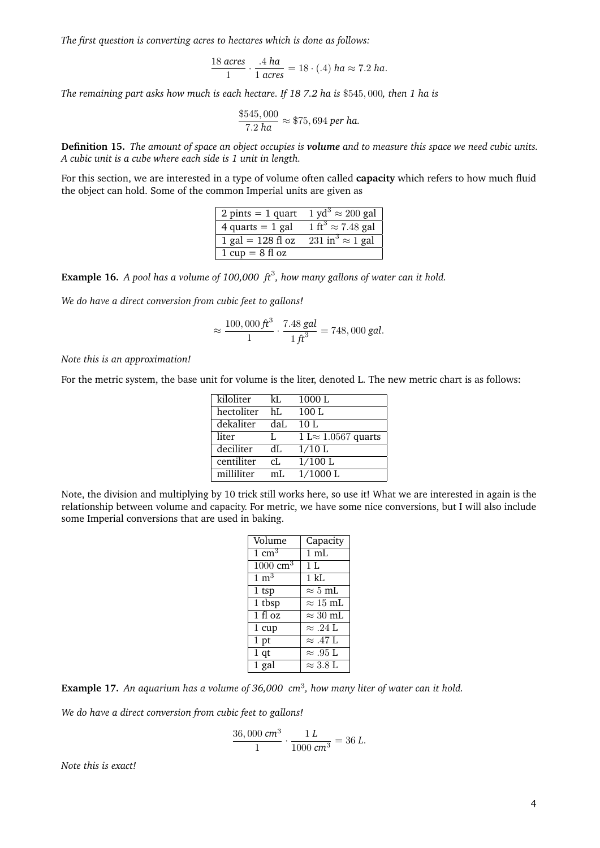*The first question is converting acres to hectares which is done as follows:*

$$
\frac{18 \text{ acres}}{1} \cdot \frac{.4 \text{ ha}}{1 \text{ acres}} = 18 \cdot (.4) \text{ ha} \approx 7.2 \text{ ha}.
$$

*The remaining part asks how much is each hectare. If 18 7.2 ha is* \$545, 000*, then 1 ha is*

$$
\frac{$545,000}{$7.2 \text{ ha}} \approx $75,694 \text{ per ha.}
$$

**Definition 15.** *The amount of space an object occupies is volume and to measure this space we need cubic units. A cubic unit is a cube where each side is 1 unit in length.*

For this section, we are interested in a type of volume often called **capacity** which refers to how much fluid the object can hold. Some of the common Imperial units are given as

| $2 \text{ pints} = 1 \text{ quart}$ | 1 yd <sup>3</sup> $\approx$ 200 gal                 |
|-------------------------------------|-----------------------------------------------------|
| 4 quarts $= 1$ gal                  | $1 \text{ ft}^3 \approx 7.48 \text{ gal}$           |
| $1$ gal = 128 fl oz                 | $\overline{231 \text{ in}^3} \approx 1 \text{ gal}$ |
| $1 cup = 8 floz$                    |                                                     |

**Example 16.** *A pool has a volume of 100,000 ft*<sup>3</sup> *, how many gallons of water can it hold.*

*We do have a direct conversion from cubic feet to gallons!*

$$
\approx \frac{100,000 \, \text{ft}^3}{1} \cdot \frac{7.48 \, \text{gal}}{1 \, \text{ft}^3} = 748,000 \, \text{gal.}
$$

*Note this is an approximation!*

For the metric system, the base unit for volume is the liter, denoted L. The new metric chart is as follows:

| kiloliter  | kL   | 1000L                       |
|------------|------|-----------------------------|
| hectoliter | hI.  | 100L                        |
| dekaliter  | daL. | 10 L                        |
| liter      | L.   | 1 L $\approx$ 1.0567 quarts |
| deciliter  | dL.  | $1/10$ L                    |
| centiliter | cL   | $1/100$ L                   |
| milliliter | mI.  | $1/1000$ L                  |

Note, the division and multiplying by 10 trick still works here, so use it! What we are interested in again is the relationship between volume and capacity. For metric, we have some nice conversions, but I will also include some Imperial conversions that are used in baking.

| Volume                            | Capacity                 |
|-----------------------------------|--------------------------|
| $\overline{1}$ cm <sup>3</sup>    | $1 \text{ mL}$           |
| $\overline{1000}$ cm <sup>3</sup> | 1 <sub>L</sub>           |
| $\overline{1} \ \text{m}^3$       | 1 kL                     |
| $1$ tsp                           | $\approx 5\text{ mL}$    |
| $1$ tbsp                          | $\approx 15~\mathrm{mL}$ |
| $\overline{1}$ fl oz              | $\approx 30$ mL          |
| 1 cup                             | $\approx .24$ L          |
| 1 <sub>pt</sub>                   | $\approx .47$ L          |
| 1 <sub>qt</sub>                   | $\approx .95$ L          |
| $1$ gal                           | $\approx 3.8$ L          |

Example 17. An aquarium has a volume of 36,000 cm<sup>3</sup>, how many liter of water can it hold.

*We do have a direct conversion from cubic feet to gallons!*

$$
\frac{36,000 \text{ cm}^3}{1} \cdot \frac{1 \text{ L}}{1000 \text{ cm}^3} = 36 \text{ L}.
$$

*Note this is exact!*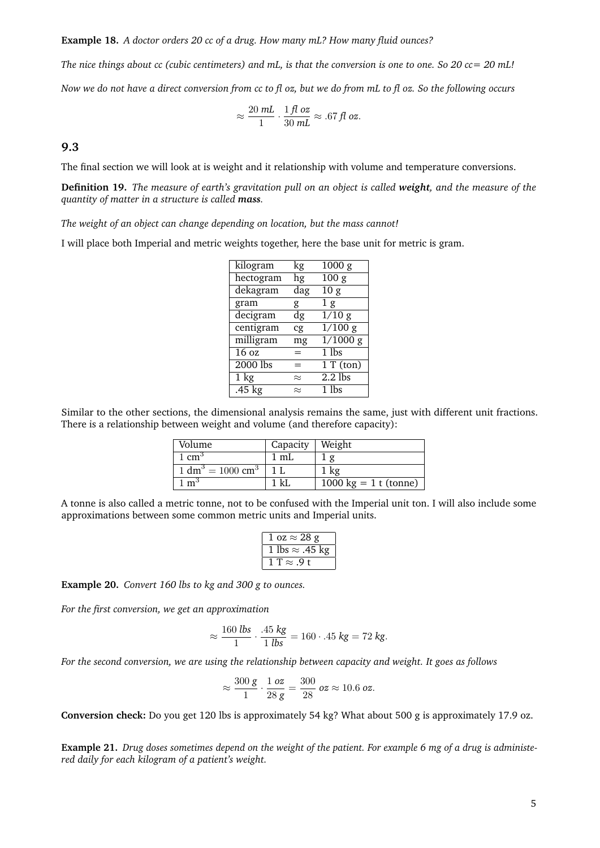**Example 18.** *A doctor orders 20 cc of a drug. How many mL? How many fluid ounces?*

*The nice things about cc (cubic centimeters) and mL, is that the conversion is one to one. So 20 cc= 20 mL! Now we do not have a direct conversion from cc to fl oz, but we do from mL to fl oz. So the following occurs*

$$
\approx \frac{20\;\text{mL}}{1} \cdot \frac{1\,\text{fl oz}}{30\;\text{mL}} \approx .67\,\text{fl oz}.
$$

**9.3**

The final section we will look at is weight and it relationship with volume and temperature conversions.

**Definition 19.** *The measure of earth's gravitation pull on an object is called weight, and the measure of the quantity of matter in a structure is called mass.*

*The weight of an object can change depending on location, but the mass cannot!*

I will place both Imperial and metric weights together, here the base unit for metric is gram.

| kilogram         | kg        | 1000 g              |
|------------------|-----------|---------------------|
| hectogram        | hg        | $\overline{100}$ g  |
| dekagram         | dag       | $\overline{10 g}$   |
| gram             | g         | 1 <sub>g</sub>      |
| decigram         | dg        | $\overline{1/10}$ g |
| centigram        | cg        | $\frac{1}{100}$ g   |
| milligram        | mg        | $\frac{1}{1000}$ g  |
| 16 <sub>oz</sub> |           | $\overline{1}$ lbs  |
| $2000$ lbs       | =         | 1 T (ton)           |
| $1 \text{ kg}$   | $\approx$ | $2.2$ lbs           |
| $.45$ kg         | $\approx$ | $\overline{1}$ lbs  |

Similar to the other sections, the dimensional analysis remains the same, just with different unit fractions. There is a relationship between weight and volume (and therefore capacity):

| Volume                                               | Capacity   Weight |                                    |
|------------------------------------------------------|-------------------|------------------------------------|
| 1 cm <sup>3</sup>                                    | 1 mI.             |                                    |
| $\frac{1}{1}$ dm <sup>3</sup> = 1000 cm <sup>3</sup> |                   | $1 \text{ kg}$                     |
| $\overline{m}^3$                                     | 1 kI              | $\overline{1000}$ kg = 1 t (tonne) |

A tonne is also called a metric tonne, not to be confused with the Imperial unit ton. I will also include some approximations between some common metric units and Imperial units.

| $1 oz \approx 28 g$    |
|------------------------|
| 1 lbs $\approx$ .45 kg |
| $T \approx .9 t$       |

**Example 20.** *Convert 160 lbs to kg and 300 g to ounces.*

*For the first conversion, we get an approximation*

$$
\approx \frac{160 \text{ lbs}}{1} \cdot \frac{.45 \text{ kg}}{1 \text{ lbs}} = 160 \cdot .45 \text{ kg} = 72 \text{ kg}.
$$

*For the second conversion, we are using the relationship between capacity and weight. It goes as follows*

$$
\approx \frac{300 \text{ g}}{1} \cdot \frac{1 \text{ oz}}{28 \text{ g}} = \frac{300}{28} \text{ oz} \approx 10.6 \text{ oz}.
$$

**Conversion check:** Do you get 120 lbs is approximately 54 kg? What about 500 g is approximately 17.9 oz.

**Example 21.** *Drug doses sometimes depend on the weight of the patient. For example 6 mg of a drug is administered daily for each kilogram of a patient's weight.*